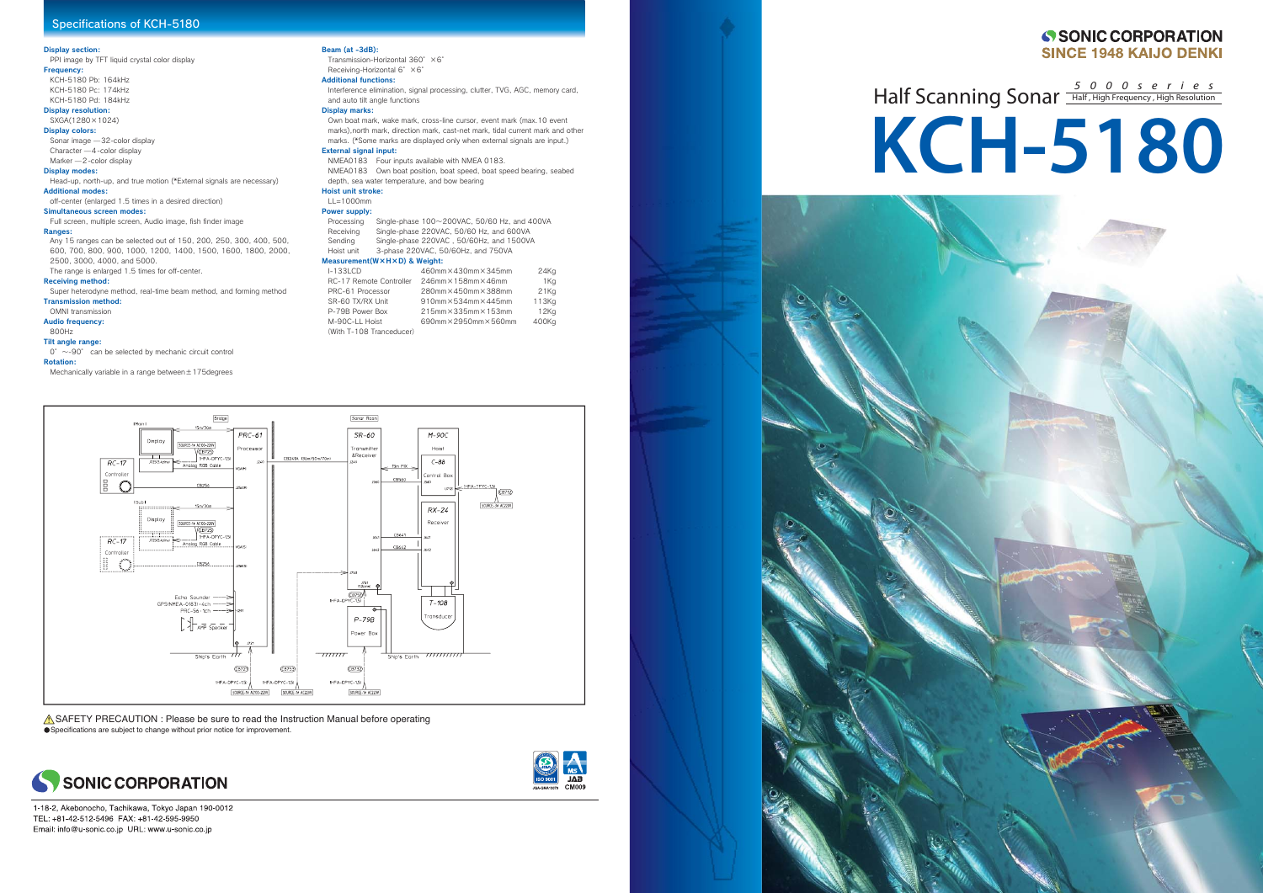# Half Scanning Sonar **Half**, High Frequency, High Resolution **KCH-5180**



#### Display section:

PPI image by TFT liquid crystal color display Frequency:

KCH-5180 Pb: 164kHz KCH-5180 Pc: 174kHz

KCH-5180 Pd: 184kHz

Display resolution: SXGA(1280×1024)

# Display colors:

Sonar image ̶32-color display

# Character ̶4-color display

Marker ̶2-color display Display modes:

Head-up, north-up, and true motion (\*External signals are necessary) Additional modes:

off-center (enlarged 1.5 times in a desired direction)

 $0^{\circ}$  ~-90° can be selected by mechanic circuit control Rotation:

#### Simultaneous screen modes:

Full screen, multiple screen, Audio image, fish finder image

Transmission-Horizontal 360° ×6° Receiving-Horizontal 6° ×6° Additional functions:

### Ranges:

Any 15 ranges can be selected out of 150, 200, 250, 300, 400, 500, 600, 700, 800, 900, 1000, 1200, 1400, 1500, 1600, 1800, 2000, 2500, 3000, 4000, and 5000.

The range is enlarged 1.5 times for off-center.

## Receiving method:

#### Hoist unit stroke:  $L = 1000$ mm

Super heterodyne method, real-time beam method, and forming method

# Transmission method:

OMNI transmission

# Audio frequency:

800Hz

# Tilt angle range:

### Sending Single-phase 220VAC, 50/60Hz, and 1500VA Hoist unit 3-phase 220VAC, 50/60Hz, and 750VA

Mechanically variable in a range between±175degrees

## Beam (at -3dB):

 Interference elimination, signal processing, clutter, TVG, AGC, memory card, and auto tilt angle functions

# Display marks:

Own boat mark, wake mark, cross-line cursor, event mark (max.10 event marks),north mark, direction mark, cast-net mark, tidal current mark and other marks. (\*Some marks are displayed only when external signals are input.) External signal input:

NMEA0183 Four inputs available with NMEA 0183. NMEA0183 Own boat position, boat speed, boat speed bearing, seabed depth, sea water temperature, and bow bearing

## Power supply:

Processing Single-phase 100~200VAC, 50/60 Hz, and 400VA Receiving Single-phase 220VAC, 50/60 Hz, and 600VA

#### Measurement(W×H×D) & Weight:

| $-133$ LCD               | 460mm×430mm×345mm                      | 24K <sub>Q</sub> |
|--------------------------|----------------------------------------|------------------|
| RC-17 Remote Controller  | $246$ mm $\times$ 158mm $\times$ 46mm  | 1Ko              |
| PRC-61 Processor         | 280mm×450mm×388mm                      | 21K <sub>G</sub> |
| SR-60 TX/RX Unit         | $910$ mm $\times$ 534mm $\times$ 445mm | 113Kg            |
| P-79B Power Box          | $215$ mm $\times$ 335mm $\times$ 153mm | 12Kg             |
| M-90C-LL Hoist           | 690mm×2950mm×560mm                     | 400Kg            |
| (With T-108 Tranceducer) |                                        |                  |



 $\triangle$  SAFETY PRECAUTION : Please be sure to read the Instruction Manual before operating Specifications are subject to change without prior notice for improvement.





1-18-2, Akebonocho, Tachikawa, Tokyo Japan 190-0012 TEL: +81-42-512-5496 FAX: +81-42-595-9950 Email: info@u-sonic.co.jp URL: www.u-sonic.co.jp



# SONIC CORPORATION **SINCE 1948 KAIJO DENKI**

# Specifications of KCH-5180